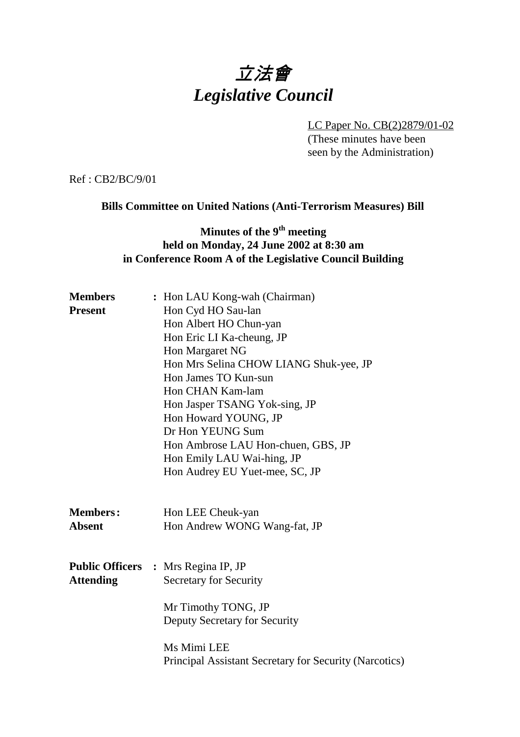# 立法會 *Legislative Council*

LC Paper No. CB(2)2879/01-02 (These minutes have been seen by the Administration)

Ref : CB2/BC/9/01

#### **Bills Committee on United Nations (Anti-Terrorism Measures) Bill**

#### **Minutes of the 9<sup>th</sup> meeting held on Monday, 24 June 2002 at 8:30 am in Conference Room A of the Legislative Council Building**

| <b>Members</b>   | : Hon LAU Kong-wah (Chairman)                          |  |  |
|------------------|--------------------------------------------------------|--|--|
| <b>Present</b>   | Hon Cyd HO Sau-lan                                     |  |  |
|                  | Hon Albert HO Chun-yan                                 |  |  |
|                  | Hon Eric LI Ka-cheung, JP                              |  |  |
|                  | Hon Margaret NG                                        |  |  |
|                  | Hon Mrs Selina CHOW LIANG Shuk-yee, JP                 |  |  |
|                  | Hon James TO Kun-sun                                   |  |  |
|                  | Hon CHAN Kam-lam                                       |  |  |
|                  | Hon Jasper TSANG Yok-sing, JP                          |  |  |
|                  | Hon Howard YOUNG, JP                                   |  |  |
|                  | Dr Hon YEUNG Sum                                       |  |  |
|                  | Hon Ambrose LAU Hon-chuen, GBS, JP                     |  |  |
|                  | Hon Emily LAU Wai-hing, JP                             |  |  |
|                  | Hon Audrey EU Yuet-mee, SC, JP                         |  |  |
| <b>Members:</b>  | Hon LEE Cheuk-yan                                      |  |  |
| <b>Absent</b>    | Hon Andrew WONG Wang-fat, JP                           |  |  |
|                  |                                                        |  |  |
|                  | <b>Public Officers : Mrs Regina IP, JP</b>             |  |  |
| <b>Attending</b> | <b>Secretary for Security</b>                          |  |  |
|                  | Mr Timothy TONG, JP                                    |  |  |
|                  | Deputy Secretary for Security                          |  |  |
|                  | Ms Mimi LEE                                            |  |  |
|                  | Principal Assistant Secretary for Security (Narcotics) |  |  |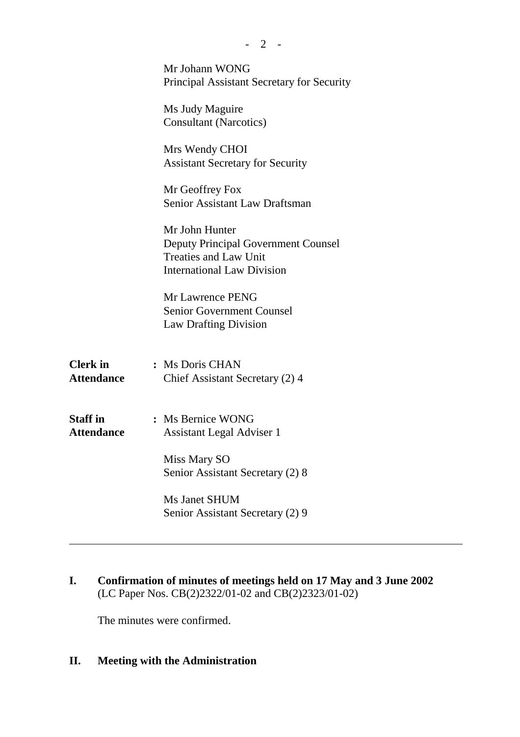|                                      | $-2$ -                                                                                                                            |
|--------------------------------------|-----------------------------------------------------------------------------------------------------------------------------------|
|                                      | Mr Johann WONG<br><b>Principal Assistant Secretary for Security</b>                                                               |
|                                      | Ms Judy Maguire<br><b>Consultant (Narcotics)</b>                                                                                  |
|                                      | Mrs Wendy CHOI<br><b>Assistant Secretary for Security</b>                                                                         |
|                                      | Mr Geoffrey Fox<br>Senior Assistant Law Draftsman                                                                                 |
|                                      | Mr John Hunter<br><b>Deputy Principal Government Counsel</b><br><b>Treaties and Law Unit</b><br><b>International Law Division</b> |
|                                      | Mr Lawrence PENG<br><b>Senior Government Counsel</b><br><b>Law Drafting Division</b>                                              |
| <b>Clerk</b> in<br><b>Attendance</b> | : Ms Doris CHAN<br>Chief Assistant Secretary (2) 4                                                                                |
| <b>Staff in</b><br><b>Attendance</b> | : Ms Bernice WONG<br><b>Assistant Legal Adviser 1</b>                                                                             |
|                                      | Miss Mary SO<br>Senior Assistant Secretary (2) 8                                                                                  |
|                                      | <b>Ms Janet SHUM</b><br>Senior Assistant Secretary (2) 9                                                                          |
|                                      |                                                                                                                                   |

**I. Confirmation of minutes of meetings held on 17 May and 3 June 2002** (LC Paper Nos. CB(2)2322/01-02 and CB(2)2323/01-02)

The minutes were confirmed.

## **II. Meeting with the Administration**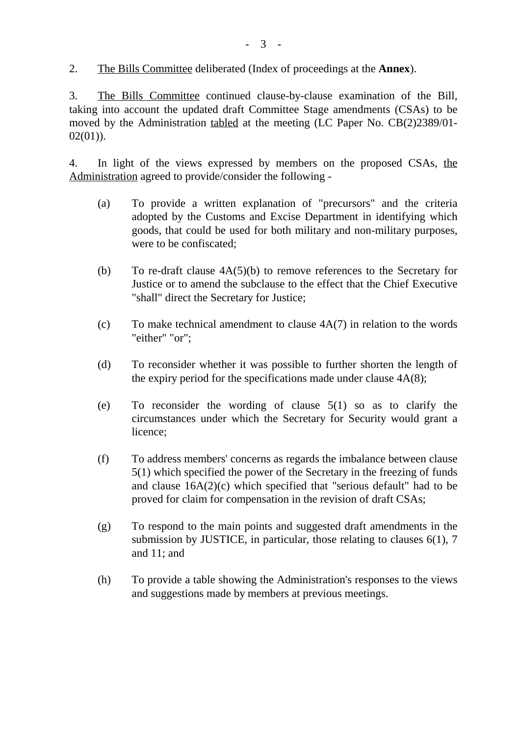2. The Bills Committee deliberated (Index of proceedings at the **Annex**).

3. The Bills Committee continued clause-by-clause examination of the Bill, taking into account the updated draft Committee Stage amendments (CSAs) to be moved by the Administration tabled at the meeting (LC Paper No. CB(2)2389/01- 02(01)).

4. In light of the views expressed by members on the proposed CSAs, the Administration agreed to provide/consider the following -

- (a) To provide a written explanation of "precursors" and the criteria adopted by the Customs and Excise Department in identifying which goods, that could be used for both military and non-military purposes, were to be confiscated;
- (b) To re-draft clause 4A(5)(b) to remove references to the Secretary for Justice or to amend the subclause to the effect that the Chief Executive "shall" direct the Secretary for Justice;
- (c) To make technical amendment to clause 4A(7) in relation to the words "either" "or";
- (d) To reconsider whether it was possible to further shorten the length of the expiry period for the specifications made under clause 4A(8);
- (e) To reconsider the wording of clause 5(1) so as to clarify the circumstances under which the Secretary for Security would grant a licence;
- (f) To address members' concerns as regards the imbalance between clause 5(1) which specified the power of the Secretary in the freezing of funds and clause 16A(2)(c) which specified that "serious default" had to be proved for claim for compensation in the revision of draft CSAs;
- (g) To respond to the main points and suggested draft amendments in the submission by JUSTICE, in particular, those relating to clauses 6(1), 7 and 11; and
- (h) To provide a table showing the Administration's responses to the views and suggestions made by members at previous meetings.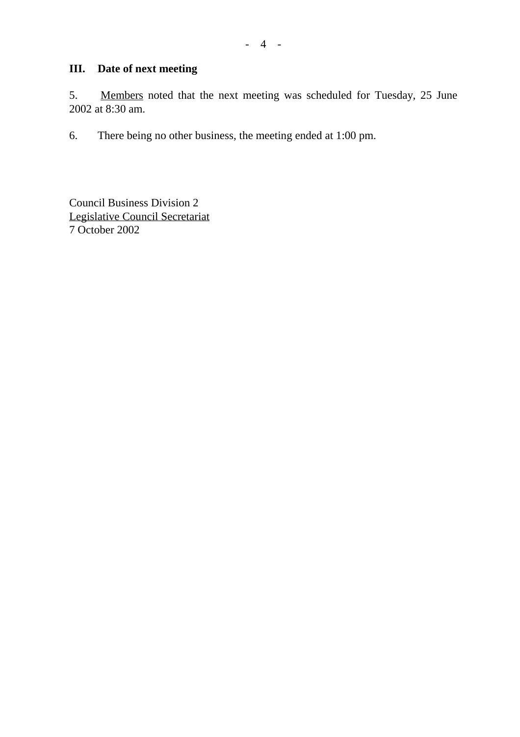## **III. Date of next meeting**

5. Members noted that the next meeting was scheduled for Tuesday, 25 June 2002 at 8:30 am.

6. There being no other business, the meeting ended at 1:00 pm.

Council Business Division 2 Legislative Council Secretariat 7 October 2002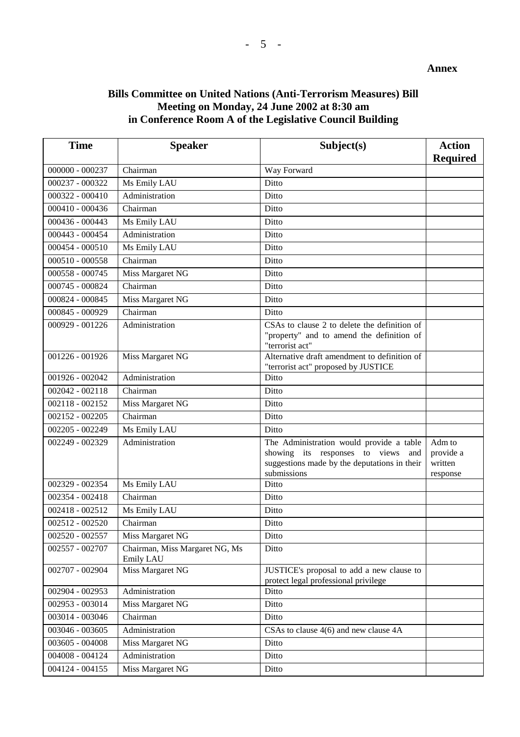#### **Bills Committee on United Nations (Anti-Terrorism Measures) Bill Meeting on Monday, 24 June 2002 at 8:30 am in Conference Room A of the Legislative Council Building**

| <b>Time</b>       | <b>Speaker</b>                              | Subject(s)                                                                                                                                       | <b>Action</b><br><b>Required</b>           |
|-------------------|---------------------------------------------|--------------------------------------------------------------------------------------------------------------------------------------------------|--------------------------------------------|
| 000000 - 000237   | Chairman                                    | Way Forward                                                                                                                                      |                                            |
| 000237 - 000322   | Ms Emily LAU                                | Ditto                                                                                                                                            |                                            |
| 000322 - 000410   | Administration                              | Ditto                                                                                                                                            |                                            |
| 000410 - 000436   | Chairman                                    | Ditto                                                                                                                                            |                                            |
| 000436 - 000443   | Ms Emily LAU                                | Ditto                                                                                                                                            |                                            |
| 000443 - 000454   | Administration                              | Ditto                                                                                                                                            |                                            |
| 000454 - 000510   | Ms Emily LAU                                | Ditto                                                                                                                                            |                                            |
| 000510 - 000558   | Chairman                                    | Ditto                                                                                                                                            |                                            |
| 000558 - 000745   | Miss Margaret NG                            | Ditto                                                                                                                                            |                                            |
| 000745 - 000824   | Chairman                                    | Ditto                                                                                                                                            |                                            |
| 000824 - 000845   | Miss Margaret NG                            | Ditto                                                                                                                                            |                                            |
| 000845 - 000929   | Chairman                                    | Ditto                                                                                                                                            |                                            |
| 000929 - 001226   | Administration                              | CSAs to clause 2 to delete the definition of<br>"property" and to amend the definition of<br>"terrorist act"                                     |                                            |
| 001226 - 001926   | Miss Margaret NG                            | Alternative draft amendment to definition of<br>"terrorist act" proposed by JUSTICE                                                              |                                            |
| 001926 - 002042   | Administration                              | Ditto                                                                                                                                            |                                            |
| 002042 - 002118   | Chairman                                    | Ditto                                                                                                                                            |                                            |
| 002118 - 002152   | Miss Margaret NG                            | Ditto                                                                                                                                            |                                            |
| 002152 - 002205   | Chairman                                    | Ditto                                                                                                                                            |                                            |
| 002205 - 002249   | Ms Emily LAU                                | Ditto                                                                                                                                            |                                            |
| 002249 - 002329   | Administration                              | The Administration would provide a table<br>showing its responses to views<br>and<br>suggestions made by the deputations in their<br>submissions | Adm to<br>provide a<br>written<br>response |
| 002329 - 002354   | Ms Emily LAU                                | Ditto                                                                                                                                            |                                            |
| 002354 - 002418   | Chairman                                    | Ditto                                                                                                                                            |                                            |
| 002418 - 002512   | Ms Emily LAU                                | Ditto                                                                                                                                            |                                            |
| 002512 - 002520   | Chairman                                    | Ditto                                                                                                                                            |                                            |
| 002520 - 002557   | Miss Margaret NG                            | Ditto                                                                                                                                            |                                            |
| 002557 - 002707   | Chairman, Miss Margaret NG, Ms<br>Emily LAU | Ditto                                                                                                                                            |                                            |
| 002707 - 002904   | Miss Margaret NG                            | JUSTICE's proposal to add a new clause to<br>protect legal professional privilege                                                                |                                            |
| 002904 - 002953   | Administration                              | Ditto                                                                                                                                            |                                            |
| 002953 - 003014   | Miss Margaret NG                            | Ditto                                                                                                                                            |                                            |
| 003014 - 003046   | Chairman                                    | Ditto                                                                                                                                            |                                            |
| 003046 - 003605   | Administration                              | CSAs to clause 4(6) and new clause 4A                                                                                                            |                                            |
| 003605 - 004008   | Miss Margaret NG                            | Ditto                                                                                                                                            |                                            |
| $004008 - 004124$ | Administration                              | Ditto                                                                                                                                            |                                            |
| 004124 - 004155   | Miss Margaret NG                            | Ditto                                                                                                                                            |                                            |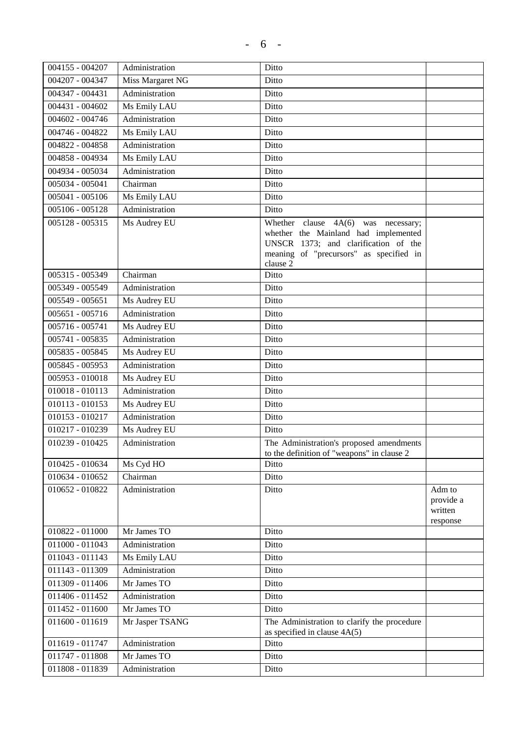| 004155 - 004207   | Administration   | Ditto                                                                                                                                                                        |                                            |
|-------------------|------------------|------------------------------------------------------------------------------------------------------------------------------------------------------------------------------|--------------------------------------------|
| 004207 - 004347   | Miss Margaret NG | Ditto                                                                                                                                                                        |                                            |
| 004347 - 004431   | Administration   | Ditto                                                                                                                                                                        |                                            |
| 004431 - 004602   | Ms Emily LAU     | Ditto                                                                                                                                                                        |                                            |
| 004602 - 004746   | Administration   | Ditto                                                                                                                                                                        |                                            |
| 004746 - 004822   | Ms Emily LAU     | Ditto                                                                                                                                                                        |                                            |
| 004822 - 004858   | Administration   | Ditto                                                                                                                                                                        |                                            |
| 004858 - 004934   | Ms Emily LAU     | Ditto                                                                                                                                                                        |                                            |
| 004934 - 005034   | Administration   | Ditto                                                                                                                                                                        |                                            |
| $005034 - 005041$ | Chairman         | Ditto                                                                                                                                                                        |                                            |
| 005041 - 005106   | Ms Emily LAU     | Ditto                                                                                                                                                                        |                                            |
| 005106 - 005128   | Administration   | Ditto                                                                                                                                                                        |                                            |
| 005128 - 005315   | Ms Audrey EU     | Whether clause $4A(6)$ was necessary;<br>whether the Mainland had implemented<br>UNSCR 1373; and clarification of the<br>meaning of "precursors" as specified in<br>clause 2 |                                            |
| 005315 - 005349   | Chairman         | Ditto                                                                                                                                                                        |                                            |
| 005349 - 005549   | Administration   | Ditto                                                                                                                                                                        |                                            |
| $005549 - 005651$ | Ms Audrey EU     | Ditto                                                                                                                                                                        |                                            |
| $005651 - 005716$ | Administration   | Ditto                                                                                                                                                                        |                                            |
| 005716 - 005741   | Ms Audrey EU     | Ditto                                                                                                                                                                        |                                            |
| 005741 - 005835   | Administration   | Ditto                                                                                                                                                                        |                                            |
| 005835 - 005845   | Ms Audrey EU     | Ditto                                                                                                                                                                        |                                            |
| 005845 - 005953   | Administration   | Ditto                                                                                                                                                                        |                                            |
| 005953 - 010018   | Ms Audrey EU     | Ditto                                                                                                                                                                        |                                            |
| $010018 - 010113$ | Administration   | Ditto                                                                                                                                                                        |                                            |
| 010113 - 010153   | Ms Audrey EU     | Ditto                                                                                                                                                                        |                                            |
| 010153 - 010217   | Administration   | Ditto                                                                                                                                                                        |                                            |
| 010217 - 010239   | Ms Audrey EU     | Ditto                                                                                                                                                                        |                                            |
| 010239 - 010425   | Administration   | The Administration's proposed amendments                                                                                                                                     |                                            |
|                   |                  | to the definition of "weapons" in clause 2                                                                                                                                   |                                            |
| 010425 - 010634   | Ms Cyd HO        | Ditto                                                                                                                                                                        |                                            |
| 010634 - 010652   | Chairman         | Ditto                                                                                                                                                                        |                                            |
| 010652 - 010822   | Administration   | Ditto                                                                                                                                                                        | Adm to<br>provide a<br>written<br>response |
| 010822 - 011000   | Mr James TO      | Ditto                                                                                                                                                                        |                                            |
| 011000 - 011043   | Administration   | Ditto                                                                                                                                                                        |                                            |
| 011043 - 011143   | Ms Emily LAU     | Ditto                                                                                                                                                                        |                                            |
| 011143 - 011309   | Administration   | Ditto                                                                                                                                                                        |                                            |
| 011309 - 011406   | Mr James TO      | Ditto                                                                                                                                                                        |                                            |
| 011406 - 011452   | Administration   | Ditto                                                                                                                                                                        |                                            |
| $011452 - 011600$ | Mr James TO      | Ditto                                                                                                                                                                        |                                            |
| $011600 - 011619$ | Mr Jasper TSANG  | The Administration to clarify the procedure<br>as specified in clause $4A(5)$                                                                                                |                                            |
| 011619 - 011747   | Administration   | Ditto                                                                                                                                                                        |                                            |
| 011747 - 011808   | Mr James TO      | Ditto                                                                                                                                                                        |                                            |
| 011808 - 011839   | Administration   | Ditto                                                                                                                                                                        |                                            |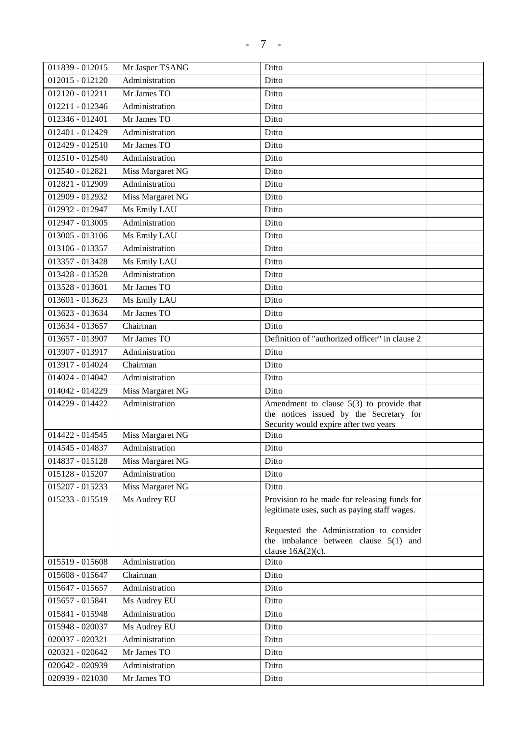| 011839 - 012015 | Mr Jasper TSANG  | Ditto                                          |  |
|-----------------|------------------|------------------------------------------------|--|
| 012015 - 012120 | Administration   | Ditto                                          |  |
| 012120 - 012211 | Mr James TO      | Ditto                                          |  |
| 012211 - 012346 | Administration   | Ditto                                          |  |
| 012346 - 012401 | Mr James TO      | Ditto                                          |  |
| 012401 - 012429 | Administration   | Ditto                                          |  |
| 012429 - 012510 | Mr James TO      | Ditto                                          |  |
| 012510 - 012540 | Administration   | Ditto                                          |  |
| 012540 - 012821 | Miss Margaret NG | Ditto                                          |  |
| 012821 - 012909 | Administration   | Ditto                                          |  |
| 012909 - 012932 | Miss Margaret NG | Ditto                                          |  |
| 012932 - 012947 | Ms Emily LAU     | Ditto                                          |  |
| 012947 - 013005 | Administration   | Ditto                                          |  |
| 013005 - 013106 | Ms Emily LAU     | Ditto                                          |  |
| 013106 - 013357 | Administration   | Ditto                                          |  |
| 013357 - 013428 | Ms Emily LAU     | Ditto                                          |  |
| 013428 - 013528 | Administration   | Ditto                                          |  |
| 013528 - 013601 | Mr James TO      | Ditto                                          |  |
| 013601 - 013623 | Ms Emily LAU     | Ditto                                          |  |
| 013623 - 013634 | Mr James TO      | Ditto                                          |  |
| 013634 - 013657 | Chairman         | Ditto                                          |  |
| 013657 - 013907 | Mr James TO      | Definition of "authorized officer" in clause 2 |  |
| 013907 - 013917 | Administration   | Ditto                                          |  |
| 013917 - 014024 | Chairman         | Ditto                                          |  |
| 014024 - 014042 | Administration   | Ditto                                          |  |
| 014042 - 014229 | Miss Margaret NG | Ditto                                          |  |
| 014229 - 014422 | Administration   | Amendment to clause $5(3)$ to provide that     |  |
|                 |                  | the notices issued by the Secretary for        |  |
|                 |                  | Security would expire after two years          |  |
| 014422 - 014545 | Miss Margaret NG | Ditto                                          |  |
| 014545 - 014837 | Administration   | Ditto                                          |  |
| 014837 - 015128 | Miss Margaret NG | Ditto                                          |  |
| 015128 - 015207 | Administration   | Ditto                                          |  |
| 015207 - 015233 | Miss Margaret NG | Ditto                                          |  |
| 015233 - 015519 | Ms Audrey EU     | Provision to be made for releasing funds for   |  |
|                 |                  | legitimate uses, such as paying staff wages.   |  |
|                 |                  | Requested the Administration to consider       |  |
|                 |                  | the imbalance between clause $5(1)$ and        |  |
|                 |                  | clause $16A(2)(c)$ .                           |  |
| 015519 - 015608 | Administration   | Ditto                                          |  |
| 015608 - 015647 | Chairman         | Ditto                                          |  |
| 015647 - 015657 | Administration   | Ditto                                          |  |
| 015657 - 015841 | Ms Audrey EU     | Ditto                                          |  |
| 015841 - 015948 | Administration   | Ditto                                          |  |
| 015948 - 020037 | Ms Audrey EU     | Ditto                                          |  |
| 020037 - 020321 | Administration   | Ditto                                          |  |
| 020321 - 020642 | Mr James TO      | Ditto                                          |  |

020642 - 020939 Administration Ditto 020939 - 021030 Mr James TO Ditto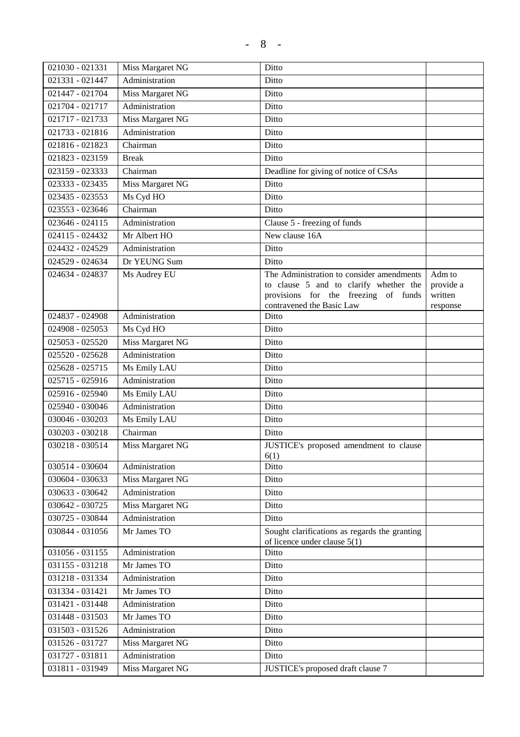| 021030 - 021331              | Miss Margaret NG | Ditto                                                                                                                                                    |                                            |
|------------------------------|------------------|----------------------------------------------------------------------------------------------------------------------------------------------------------|--------------------------------------------|
| 021331 - 021447              | Administration   | Ditto                                                                                                                                                    |                                            |
| 021447 - 021704              | Miss Margaret NG | Ditto                                                                                                                                                    |                                            |
| 021704 - 021717              | Administration   | Ditto                                                                                                                                                    |                                            |
| 021717 - 021733              | Miss Margaret NG | Ditto                                                                                                                                                    |                                            |
| 021733 - 021816              | Administration   | Ditto                                                                                                                                                    |                                            |
| 021816 - 021823              | Chairman         | Ditto                                                                                                                                                    |                                            |
| $\overline{021823} - 023159$ | <b>Break</b>     | Ditto                                                                                                                                                    |                                            |
| 023159 - 023333              | Chairman         | Deadline for giving of notice of CSAs                                                                                                                    |                                            |
| $023333 - 023435$            | Miss Margaret NG | Ditto                                                                                                                                                    |                                            |
| 023435 - 023553              | Ms Cyd HO        | Ditto                                                                                                                                                    |                                            |
| 023553 - 023646              | Chairman         | Ditto                                                                                                                                                    |                                            |
| 023646 - 024115              | Administration   | Clause 5 - freezing of funds                                                                                                                             |                                            |
| 024115 - 024432              | Mr Albert HO     | New clause 16A                                                                                                                                           |                                            |
| 024432 - 024529              | Administration   | Ditto                                                                                                                                                    |                                            |
| 024529 - 024634              | Dr YEUNG Sum     | Ditto                                                                                                                                                    |                                            |
| 024634 - 024837              | Ms Audrey EU     | The Administration to consider amendments<br>to clause 5 and to clarify whether the<br>provisions for the freezing of funds<br>contravened the Basic Law | Adm to<br>provide a<br>written<br>response |
| 024837 - 024908              | Administration   | Ditto                                                                                                                                                    |                                            |
| 024908 - 025053              | Ms Cyd HO        | Ditto                                                                                                                                                    |                                            |
| 025053 - 025520              | Miss Margaret NG | Ditto                                                                                                                                                    |                                            |
| 025520 - 025628              | Administration   | Ditto                                                                                                                                                    |                                            |
| 025628 - 025715              | Ms Emily LAU     | Ditto                                                                                                                                                    |                                            |
| 025715 - 025916              | Administration   | Ditto                                                                                                                                                    |                                            |
| 025916 - 025940              | Ms Emily LAU     | Ditto                                                                                                                                                    |                                            |
| 025940 - 030046              | Administration   | Ditto                                                                                                                                                    |                                            |
| 030046 - 030203              | Ms Emily LAU     | Ditto                                                                                                                                                    |                                            |
| 030203 - 030218              | Chairman         | Ditto                                                                                                                                                    |                                            |
| 030218 - 030514              | Miss Margaret NG | JUSTICE's proposed amendment to clause                                                                                                                   |                                            |
|                              |                  | 6(1)                                                                                                                                                     |                                            |
| 030514 - 030604              | Administration   | Ditto                                                                                                                                                    |                                            |
| 030604 - 030633              | Miss Margaret NG | Ditto                                                                                                                                                    |                                            |
| 030633 - 030642              | Administration   | Ditto                                                                                                                                                    |                                            |
| 030642 - 030725              | Miss Margaret NG | Ditto                                                                                                                                                    |                                            |
| 030725 - 030844              | Administration   | Ditto                                                                                                                                                    |                                            |
| 030844 - 031056              | Mr James TO      | Sought clarifications as regards the granting<br>of licence under clause $5(1)$                                                                          |                                            |
| 031056 - 031155              | Administration   | Ditto                                                                                                                                                    |                                            |
| 031155 - 031218              | Mr James TO      | Ditto                                                                                                                                                    |                                            |
| 031218 - 031334              | Administration   | Ditto                                                                                                                                                    |                                            |
| 031334 - 031421              | Mr James TO      | Ditto                                                                                                                                                    |                                            |
| 031421 - 031448              | Administration   | Ditto                                                                                                                                                    |                                            |
| 031448 - 031503              | Mr James TO      | Ditto                                                                                                                                                    |                                            |
| 031503 - 031526              | Administration   | Ditto                                                                                                                                                    |                                            |
| 031526 - 031727              | Miss Margaret NG | Ditto                                                                                                                                                    |                                            |
| 031727 - 031811              | Administration   | Ditto                                                                                                                                                    |                                            |
| 031811 - 031949              | Miss Margaret NG | JUSTICE's proposed draft clause 7                                                                                                                        |                                            |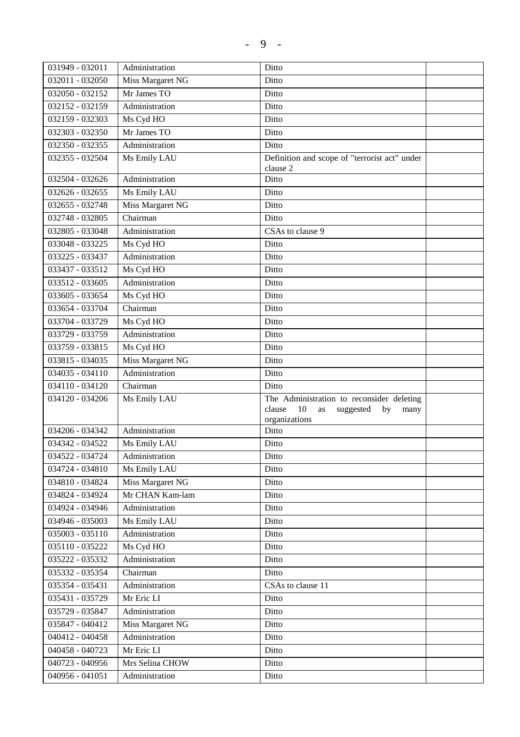| 031949 - 032011 | Administration   | Ditto                                                                                                       |  |
|-----------------|------------------|-------------------------------------------------------------------------------------------------------------|--|
| 032011 - 032050 | Miss Margaret NG | Ditto                                                                                                       |  |
| 032050 - 032152 | Mr James TO      | Ditto                                                                                                       |  |
| 032152 - 032159 | Administration   | Ditto                                                                                                       |  |
| 032159 - 032303 | Ms Cyd HO        | Ditto                                                                                                       |  |
| 032303 - 032350 | Mr James TO      | Ditto                                                                                                       |  |
| 032350 - 032355 | Administration   | Ditto                                                                                                       |  |
| 032355 - 032504 | Ms Emily LAU     | Definition and scope of "terrorist act" under                                                               |  |
|                 |                  | clause 2                                                                                                    |  |
| 032504 - 032626 | Administration   | Ditto                                                                                                       |  |
| 032626 - 032655 | Ms Emily LAU     | Ditto                                                                                                       |  |
| 032655 - 032748 | Miss Margaret NG | Ditto                                                                                                       |  |
| 032748 - 032805 | Chairman         | Ditto                                                                                                       |  |
| 032805 - 033048 | Administration   | CSAs to clause 9                                                                                            |  |
| 033048 - 033225 | Ms Cyd HO        | Ditto                                                                                                       |  |
| 033225 - 033437 | Administration   | Ditto                                                                                                       |  |
| 033437 - 033512 | Ms Cyd HO        | Ditto                                                                                                       |  |
| 033512 - 033605 | Administration   | Ditto                                                                                                       |  |
| 033605 - 033654 | Ms Cyd HO        | Ditto                                                                                                       |  |
| 033654 - 033704 | Chairman         | Ditto                                                                                                       |  |
| 033704 - 033729 | Ms Cyd HO        | Ditto                                                                                                       |  |
| 033729 - 033759 | Administration   | Ditto                                                                                                       |  |
| 033759 - 033815 | Ms Cyd HO        | Ditto                                                                                                       |  |
| 033815 - 034035 | Miss Margaret NG | Ditto                                                                                                       |  |
| 034035 - 034110 | Administration   | Ditto                                                                                                       |  |
| 034110 - 034120 | Chairman         | Ditto                                                                                                       |  |
| 034120 - 034206 | Ms Emily LAU     | The Administration to reconsider deleting<br>10<br>clause<br>suggested<br>as<br>by<br>many<br>organizations |  |
| 034206 - 034342 | Administration   | Ditto                                                                                                       |  |
| 034342 - 034522 | Ms Emily LAU     | Ditto                                                                                                       |  |
| 034522 - 034724 | Administration   | Ditto                                                                                                       |  |
| 034724 - 034810 | Ms Emily LAU     | Ditto                                                                                                       |  |
| 034810 - 034824 | Miss Margaret NG | Ditto                                                                                                       |  |
| 034824 - 034924 | Mr CHAN Kam-lam  | Ditto                                                                                                       |  |
| 034924 - 034946 | Administration   | Ditto                                                                                                       |  |
| 034946 - 035003 | Ms Emily LAU     | Ditto                                                                                                       |  |
| 035003 - 035110 | Administration   | Ditto                                                                                                       |  |
| 035110 - 035222 | Ms Cyd HO        | Ditto                                                                                                       |  |
| 035222 - 035332 | Administration   | Ditto                                                                                                       |  |

035332 - 035354 Chairman Ditto

035431 - 035729 Mr Eric LI Ditto 035729 - 035847 | Administration Ditto 035847 - 040412 | Miss Margaret NG | Ditto 040412 - 040458 Administration Ditto 040458 - 040723 Mr Eric LI Ditto 040723 - 040956 | Mrs Selina CHOW | Ditto 040956 - 041051 Administration Ditto

035354 - 035431 | Administration | CSAs to clause 11